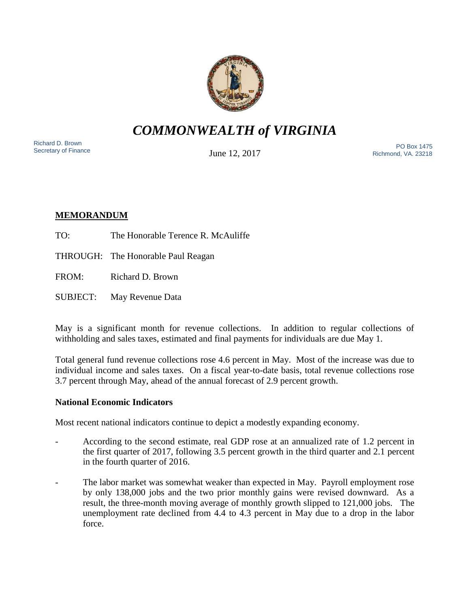

*COMMONWEALTH of VIRGINIA*

Richard D. Brown<br>Secretary of Finance

June 12, 2017

Sichard D. Brown<br>Secretary of Finance The PO Box 1475 Richmond, VA. 23218

# **MEMORANDUM**

- TO: The Honorable Terence R. McAuliffe
- THROUGH: The Honorable Paul Reagan
- FROM: Richard D. Brown
- SUBJECT: May Revenue Data

May is a significant month for revenue collections. In addition to regular collections of withholding and sales taxes, estimated and final payments for individuals are due May 1.

Total general fund revenue collections rose 4.6 percent in May. Most of the increase was due to individual income and sales taxes. On a fiscal year-to-date basis, total revenue collections rose 3.7 percent through May, ahead of the annual forecast of 2.9 percent growth.

## **National Economic Indicators**

Most recent national indicators continue to depict a modestly expanding economy.

- According to the second estimate, real GDP rose at an annualized rate of 1.2 percent in the first quarter of 2017, following 3.5 percent growth in the third quarter and 2.1 percent in the fourth quarter of 2016.
- The labor market was somewhat weaker than expected in May. Payroll employment rose by only 138,000 jobs and the two prior monthly gains were revised downward. As a result, the three-month moving average of monthly growth slipped to 121,000 jobs. The unemployment rate declined from 4.4 to 4.3 percent in May due to a drop in the labor force.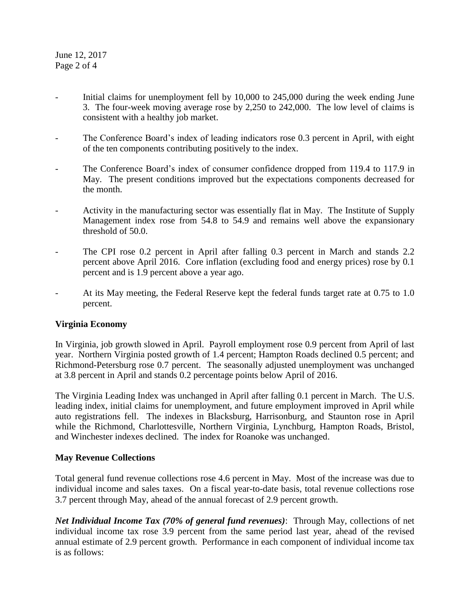June 12, 2017 Page 2 of 4

- Initial claims for unemployment fell by 10,000 to 245,000 during the week ending June 3. The four-week moving average rose by 2,250 to 242,000. The low level of claims is consistent with a healthy job market.
- The Conference Board's index of leading indicators rose 0.3 percent in April, with eight of the ten components contributing positively to the index.
- The Conference Board's index of consumer confidence dropped from 119.4 to 117.9 in May. The present conditions improved but the expectations components decreased for the month.
- Activity in the manufacturing sector was essentially flat in May. The Institute of Supply Management index rose from 54.8 to 54.9 and remains well above the expansionary threshold of 50.0.
- The CPI rose 0.2 percent in April after falling 0.3 percent in March and stands 2.2 percent above April 2016. Core inflation (excluding food and energy prices) rose by 0.1 percent and is 1.9 percent above a year ago.
- At its May meeting, the Federal Reserve kept the federal funds target rate at 0.75 to 1.0 percent.

## **Virginia Economy**

In Virginia, job growth slowed in April. Payroll employment rose 0.9 percent from April of last year. Northern Virginia posted growth of 1.4 percent; Hampton Roads declined 0.5 percent; and Richmond-Petersburg rose 0.7 percent. The seasonally adjusted unemployment was unchanged at 3.8 percent in April and stands 0.2 percentage points below April of 2016.

The Virginia Leading Index was unchanged in April after falling 0.1 percent in March. The U.S. leading index, initial claims for unemployment, and future employment improved in April while auto registrations fell. The indexes in Blacksburg, Harrisonburg, and Staunton rose in April while the Richmond, Charlottesville, Northern Virginia, Lynchburg, Hampton Roads, Bristol, and Winchester indexes declined. The index for Roanoke was unchanged.

### **May Revenue Collections**

Total general fund revenue collections rose 4.6 percent in May. Most of the increase was due to individual income and sales taxes. On a fiscal year-to-date basis, total revenue collections rose 3.7 percent through May, ahead of the annual forecast of 2.9 percent growth.

*Net Individual Income Tax (70% of general fund revenues)*: Through May, collections of net individual income tax rose 3.9 percent from the same period last year, ahead of the revised annual estimate of 2.9 percent growth. Performance in each component of individual income tax is as follows: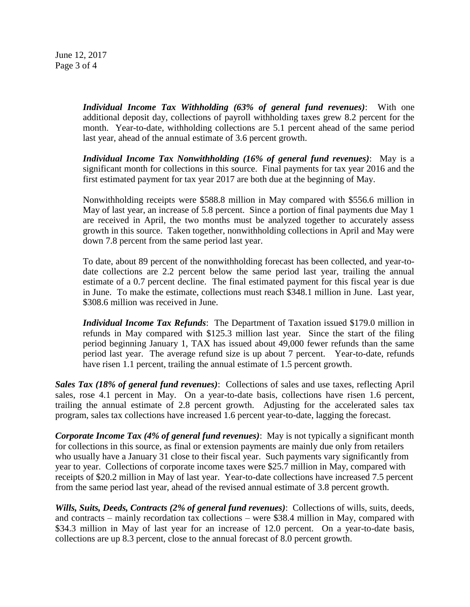June 12, 2017 Page 3 of 4

> *Individual Income Tax Withholding (63% of general fund revenues)*: With one additional deposit day, collections of payroll withholding taxes grew 8.2 percent for the month. Year-to-date, withholding collections are 5.1 percent ahead of the same period last year, ahead of the annual estimate of 3.6 percent growth.

> *Individual Income Tax Nonwithholding (16% of general fund revenues)*: May is a significant month for collections in this source. Final payments for tax year 2016 and the first estimated payment for tax year 2017 are both due at the beginning of May.

> Nonwithholding receipts were \$588.8 million in May compared with \$556.6 million in May of last year, an increase of 5.8 percent. Since a portion of final payments due May 1 are received in April, the two months must be analyzed together to accurately assess growth in this source. Taken together, nonwithholding collections in April and May were down 7.8 percent from the same period last year.

> To date, about 89 percent of the nonwithholding forecast has been collected, and year-todate collections are 2.2 percent below the same period last year, trailing the annual estimate of a 0.7 percent decline. The final estimated payment for this fiscal year is due in June. To make the estimate, collections must reach \$348.1 million in June. Last year, \$308.6 million was received in June.

> *Individual Income Tax Refunds*: The Department of Taxation issued \$179.0 million in refunds in May compared with \$125.3 million last year. Since the start of the filing period beginning January 1, TAX has issued about 49,000 fewer refunds than the same period last year. The average refund size is up about 7 percent. Year-to-date, refunds have risen 1.1 percent, trailing the annual estimate of 1.5 percent growth.

*Sales Tax (18% of general fund revenues)*: Collections of sales and use taxes, reflecting April sales, rose 4.1 percent in May. On a year-to-date basis, collections have risen 1.6 percent, trailing the annual estimate of 2.8 percent growth. Adjusting for the accelerated sales tax program, sales tax collections have increased 1.6 percent year-to-date, lagging the forecast.

*Corporate Income Tax (4% of general fund revenues)*: May is not typically a significant month for collections in this source, as final or extension payments are mainly due only from retailers who usually have a January 31 close to their fiscal year. Such payments vary significantly from year to year. Collections of corporate income taxes were \$25.7 million in May, compared with receipts of \$20.2 million in May of last year. Year-to-date collections have increased 7.5 percent from the same period last year, ahead of the revised annual estimate of 3.8 percent growth.

*Wills, Suits, Deeds, Contracts (2% of general fund revenues)*: Collections of wills, suits, deeds, and contracts – mainly recordation tax collections – were \$38.4 million in May, compared with \$34.3 million in May of last year for an increase of 12.0 percent. On a year-to-date basis, collections are up 8.3 percent, close to the annual forecast of 8.0 percent growth.